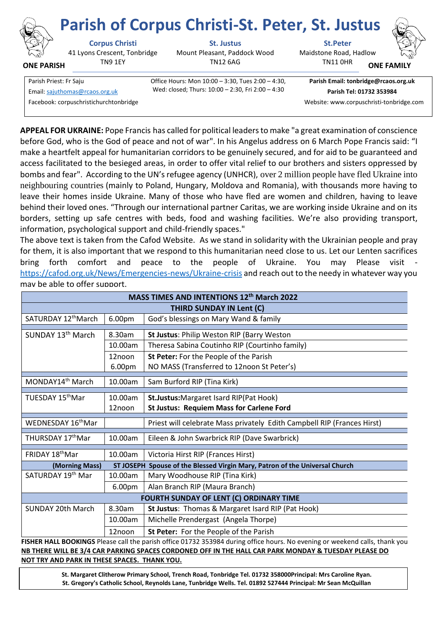

**ONE PARISH**

# **Parish of Corpus Christi-St. Peter, St. Justus**

41 Lyons Crescent, Tonbridge TN9 1EY

**Corpus Christi St. Justus St.Peter**

Mount Pleasant, Paddock Wood TN12 6AG

Maidstone Road, Hadlow

TN11 0HR **ONE FAMI** 

Parish Priest: Fr Saju Office Hours: Mon 10:00 – 3:30, Tues 2:00 – 4:30, Facebook: corpuschristichurchtonbridge Website: www.corpuschristi-tonbridge.com

Wed: closed; Thurs: 10:00 – 2:30, Fri 2:00 – 4:30 Email[: sajuthomas@rcaos.org.uk](about:blank) **Parish Tel: 01732 353984**

**Parish Email: tonbridge@rcaos.org.uk**

**APPEAL FOR UKRAINE:** Pope Francis has called for political leaders to make "a great examination of conscience before God, who is the God of peace and not of war". In his Angelus address on 6 March Pope Francis said: "I make a heartfelt appeal for humanitarian corridors to be genuinely secured, and for aid to be guaranteed and access facilitated to the besieged areas, in order to offer vital relief to our brothers and sisters oppressed by bombs and fear". According to the UN's refugee agency (UNHCR), over 2 million people have fled Ukraine into neighbouring countries (mainly to Poland, Hungary, Moldova and Romania), with thousands more having to leave their homes inside Ukraine. Many of those who have fled are women and children, having to leave behind their loved ones. "Through our international partner Caritas, we are working inside Ukraine and on its borders, setting up safe centres with beds, food and washing facilities. We're also providing transport, information, psychological support and child-friendly spaces."

The above text is taken from the Cafod Website. As we stand in solidarity with the Ukrainian people and pray for them, it is also important that we respond to this humanitarian need close to us. Let our Lenten sacrifices bring forth comfort and peace to the people of Ukraine. You may Please visit <https://cafod.org.uk/News/Emergencies-news/Ukraine-crisis> and reach out to the needy in whatever way you may be able to offer support.

| MASS TIMES AND INTENTIONS 12th March 2022                                                                                   |         |                                                                         |
|-----------------------------------------------------------------------------------------------------------------------------|---------|-------------------------------------------------------------------------|
| <b>THIRD SUNDAY IN Lent (C)</b>                                                                                             |         |                                                                         |
| SATURDAY 12 <sup>th</sup> March                                                                                             | 6.00pm  | God's blessings on Mary Wand & family                                   |
|                                                                                                                             |         |                                                                         |
| SUNDAY 13 <sup>th</sup> March                                                                                               | 8.30am  | St Justus: Philip Weston RIP (Barry Weston                              |
|                                                                                                                             | 10.00am | Theresa Sabina Coutinho RIP (Courtinho family)                          |
|                                                                                                                             | 12noon  | St Peter: For the People of the Parish                                  |
|                                                                                                                             | 6.00pm  | NO MASS (Transferred to 12noon St Peter's)                              |
| MONDAY14 <sup>th</sup> March                                                                                                | 10.00am | Sam Burford RIP (Tina Kirk)                                             |
|                                                                                                                             |         |                                                                         |
| TUESDAY 15 <sup>th</sup> Mar                                                                                                | 10.00am | St.Justus: Margaret Isard RIP (Pat Hook)                                |
|                                                                                                                             | 12noon  | <b>St Justus: Requiem Mass for Carlene Ford</b>                         |
| WEDNESDAY 16 <sup>th</sup> Mar                                                                                              |         | Priest will celebrate Mass privately Edith Campbell RIP (Frances Hirst) |
|                                                                                                                             |         |                                                                         |
| THURSDAY 17thMar                                                                                                            | 10.00am | Eileen & John Swarbrick RIP (Dave Swarbrick)                            |
| FRIDAY 18 <sup>th</sup> Mar                                                                                                 | 10.00am | Victoria Hirst RIP (Frances Hirst)                                      |
| Spouse of the Blessed Virgin Mary, Patron of the Universal Church<br>(Morning Mass)<br><b>ST JOSEPH</b>                     |         |                                                                         |
| SATURDAY 19th Mar                                                                                                           | 10.00am | Mary Woodhouse RIP (Tina Kirk)                                          |
|                                                                                                                             | 6.00pm  | Alan Branch RIP (Maura Branch)                                          |
| FOURTH SUNDAY OF LENT (C) ORDINARY TIME                                                                                     |         |                                                                         |
| <b>SUNDAY 20th March</b>                                                                                                    | 8.30am  | St Justus: Thomas & Margaret Isard RIP (Pat Hook)                       |
|                                                                                                                             | 10.00am | Michelle Prendergast (Angela Thorpe)                                    |
|                                                                                                                             | 12noon  | St Peter: For the People of the Parish                                  |
| FISHER HALL BOOKINGS Please call the parish office 01732 353984 during office hours. No evening or weekend calls, thank you |         |                                                                         |

**NB THERE WILL BE 3/4 CAR PARKING SPACES CORDONED OFF IN THE HALL CAR PARK MONDAY & TUESDAY PLEASE DO NOT TRY AND PARK IN THESE SPACES. THANK YOU.**

> **St. Margaret Clitherow Primary School, Trench Road, Tonbridge Tel. 01732 358000Principal: Mrs Caroline Ryan. St. Gregory's Catholic School, Reynolds Lane, Tunbridge Wells. Tel. 01892 527444 Principal: Mr Sean McQuillan**